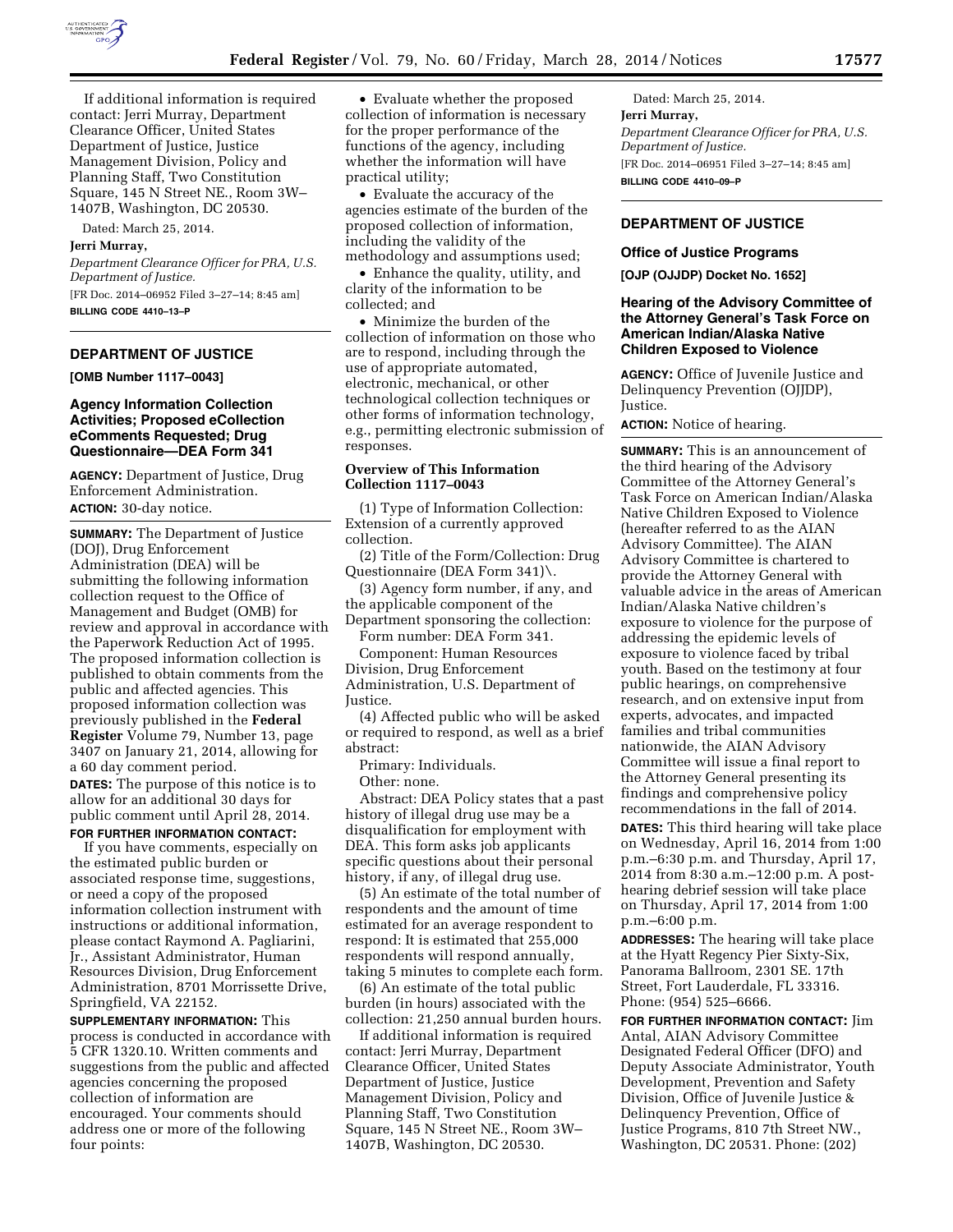

If additional information is required contact: Jerri Murray, Department Clearance Officer, United States Department of Justice, Justice Management Division, Policy and Planning Staff, Two Constitution Square, 145 N Street NE., Room 3W– 1407B, Washington, DC 20530.

Dated: March 25, 2014.

# **Jerri Murray,**

*Department Clearance Officer for PRA, U.S. Department of Justice.*  [FR Doc. 2014–06952 Filed 3–27–14; 8:45 am]

**BILLING CODE 4410–13–P** 

# **DEPARTMENT OF JUSTICE**

**[OMB Number 1117–0043]** 

## **Agency Information Collection Activities; Proposed eCollection eComments Requested; Drug Questionnaire—DEA Form 341**

**AGENCY:** Department of Justice, Drug Enforcement Administration. **ACTION:** 30-day notice.

**SUMMARY:** The Department of Justice (DOJ), Drug Enforcement Administration (DEA) will be submitting the following information collection request to the Office of Management and Budget (OMB) for review and approval in accordance with the Paperwork Reduction Act of 1995. The proposed information collection is published to obtain comments from the public and affected agencies. This proposed information collection was previously published in the **Federal Register** Volume 79, Number 13, page 3407 on January 21, 2014, allowing for a 60 day comment period. **DATES:** The purpose of this notice is to allow for an additional 30 days for public comment until April 28, 2014.

#### **FOR FURTHER INFORMATION CONTACT:**

If you have comments, especially on the estimated public burden or associated response time, suggestions, or need a copy of the proposed information collection instrument with instructions or additional information, please contact Raymond A. Pagliarini, Jr., Assistant Administrator, Human Resources Division, Drug Enforcement Administration, 8701 Morrissette Drive, Springfield, VA 22152.

**SUPPLEMENTARY INFORMATION:** This process is conducted in accordance with 5 CFR 1320.10. Written comments and suggestions from the public and affected agencies concerning the proposed collection of information are encouraged. Your comments should address one or more of the following four points:

• Evaluate whether the proposed collection of information is necessary for the proper performance of the functions of the agency, including whether the information will have practical utility;

• Evaluate the accuracy of the agencies estimate of the burden of the proposed collection of information, including the validity of the methodology and assumptions used;

• Enhance the quality, utility, and clarity of the information to be collected; and

• Minimize the burden of the collection of information on those who are to respond, including through the use of appropriate automated, electronic, mechanical, or other technological collection techniques or other forms of information technology, e.g., permitting electronic submission of responses.

## **Overview of This Information Collection 1117–0043**

(1) Type of Information Collection: Extension of a currently approved collection.

(2) Title of the Form/Collection: Drug Questionnaire (DEA Form 341)\.

(3) Agency form number, if any, and the applicable component of the Department sponsoring the collection:

Form number: DEA Form 341.

Component: Human Resources Division, Drug Enforcement Administration, U.S. Department of Justice.

(4) Affected public who will be asked or required to respond, as well as a brief abstract:

Primary: Individuals.

Other: none.

Abstract: DEA Policy states that a past history of illegal drug use may be a disqualification for employment with DEA. This form asks job applicants specific questions about their personal history, if any, of illegal drug use.

(5) An estimate of the total number of respondents and the amount of time estimated for an average respondent to respond: It is estimated that 255,000 respondents will respond annually, taking 5 minutes to complete each form.

(6) An estimate of the total public burden (in hours) associated with the collection: 21,250 annual burden hours.

If additional information is required contact: Jerri Murray, Department Clearance Officer, United States Department of Justice, Justice Management Division, Policy and Planning Staff, Two Constitution Square, 145 N Street NE., Room 3W– 1407B, Washington, DC 20530.

Dated: March 25, 2014. **Jerri Murray,**  *Department Clearance Officer for PRA, U.S. Department of Justice.*  [FR Doc. 2014–06951 Filed 3–27–14; 8:45 am] **BILLING CODE 4410–09–P** 

# **DEPARTMENT OF JUSTICE**

#### **Office of Justice Programs**

**[OJP (OJJDP) Docket No. 1652]** 

## **Hearing of the Advisory Committee of the Attorney General's Task Force on American Indian/Alaska Native Children Exposed to Violence**

**AGENCY:** Office of Juvenile Justice and Delinquency Prevention (OJJDP), Justice.

**ACTION:** Notice of hearing.

**SUMMARY:** This is an announcement of the third hearing of the Advisory Committee of the Attorney General's Task Force on American Indian/Alaska Native Children Exposed to Violence (hereafter referred to as the AIAN Advisory Committee). The AIAN Advisory Committee is chartered to provide the Attorney General with valuable advice in the areas of American Indian/Alaska Native children's exposure to violence for the purpose of addressing the epidemic levels of exposure to violence faced by tribal youth. Based on the testimony at four public hearings, on comprehensive research, and on extensive input from experts, advocates, and impacted families and tribal communities nationwide, the AIAN Advisory Committee will issue a final report to the Attorney General presenting its findings and comprehensive policy recommendations in the fall of 2014.

**DATES:** This third hearing will take place on Wednesday, April 16, 2014 from 1:00 p.m.–6:30 p.m. and Thursday, April 17, 2014 from 8:30 a.m.–12:00 p.m. A posthearing debrief session will take place on Thursday, April 17, 2014 from 1:00 p.m.–6:00 p.m.

**ADDRESSES:** The hearing will take place at the Hyatt Regency Pier Sixty-Six, Panorama Ballroom, 2301 SE. 17th Street, Fort Lauderdale, FL 33316. Phone: (954) 525–6666.

**FOR FURTHER INFORMATION CONTACT:** Jim Antal, AIAN Advisory Committee Designated Federal Officer (DFO) and Deputy Associate Administrator, Youth Development, Prevention and Safety Division, Office of Juvenile Justice & Delinquency Prevention, Office of Justice Programs, 810 7th Street NW., Washington, DC 20531. Phone: (202)